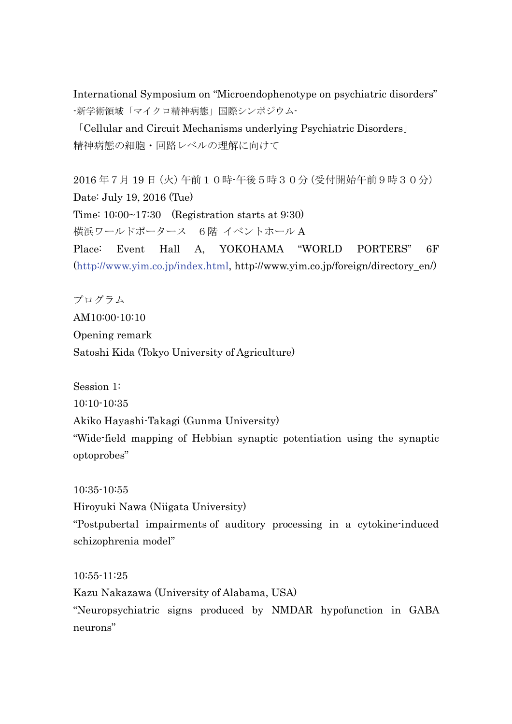International Symposium on "Microendophenotype on psychiatric disorders" -新学術領域「マイクロ精神病態」国際シンポジウム-

「Cellular and Circuit Mechanisms underlying Psychiatric Disorders」 精神病態の細胞・回路レベルの理解に向けて

2016 年7月 19 日(火)午前10時-午後5時30分(受付開始午前9時30分) Date: July 19, 2016 (Tue) Time: 10:00~17:30 (Registration starts at 9:30) 横浜ワールドポータース 6階 イベントホール A Place: Event Hall A, YOKOHAMA "WORLD PORTERS" 6F (http://www.yim.co.jp/index.html, http://www.yim.co.jp/foreign/directory\_en/)

プログラム AM10:00-10:10 Opening remark Satoshi Kida (Tokyo University of Agriculture)

Session 1: 10:10-10:35 Akiko Hayashi-Takagi (Gunma University) "Wide-field mapping of Hebbian synaptic potentiation using the synaptic optoprobes"

10:35-10:55

Hiroyuki Nawa (Niigata University)

"Postpubertal impairments of auditory processing in a cytokine-induced schizophrenia model"

10:55-11:25 Kazu Nakazawa (University of Alabama, USA) "Neuropsychiatric signs produced by NMDAR hypofunction in GABA neurons"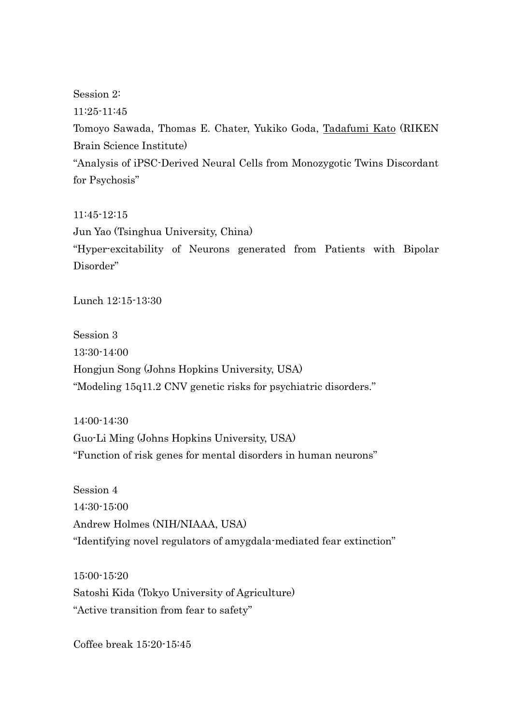Session 2: 11:25-11:45 Tomoyo Sawada, Thomas E. Chater, Yukiko Goda, Tadafumi Kato (RIKEN Brain Science Institute) "Analysis of iPSC-Derived Neural Cells from Monozygotic Twins Discordant for Psychosis"

11:45-12:15 Jun Yao (Tsinghua University, China) "Hyper-excitability of Neurons generated from Patients with Bipolar Disorder"

Lunch 12:15-13:30

Session 3 13:30-14:00 Hongjun Song (Johns Hopkins University, USA) "Modeling 15q11.2 CNV genetic risks for psychiatric disorders."

14:00-14:30 Guo-Li Ming (Johns Hopkins University, USA) "Function of risk genes for mental disorders in human neurons"

Session 4 14:30-15:00 Andrew Holmes (NIH/NIAAA, USA) "Identifying novel regulators of amygdala-mediated fear extinction"

15:00-15:20 Satoshi Kida (Tokyo University of Agriculture) "Active transition from fear to safety"

Coffee break 15:20-15:45